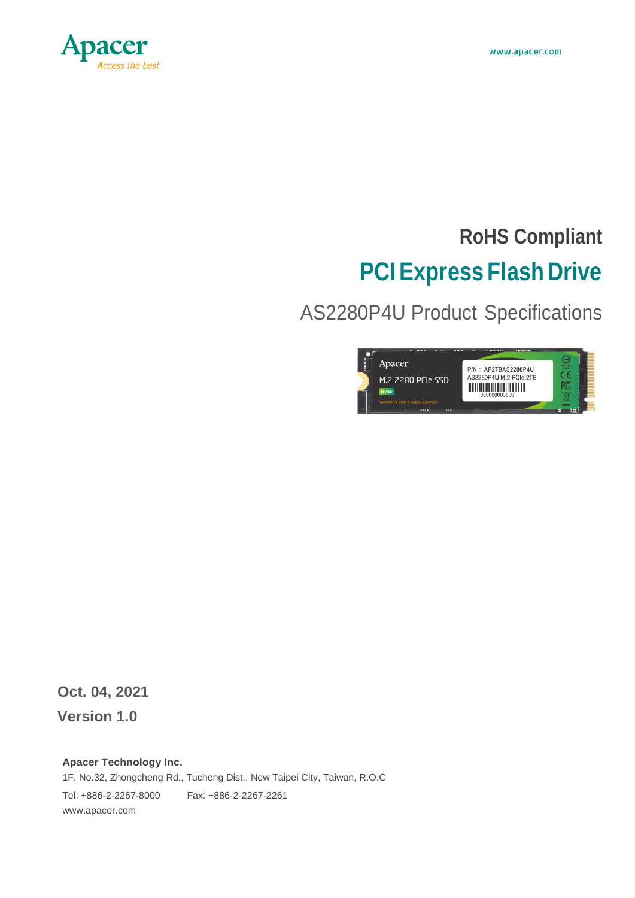

# **RoHS Compliant PCIExpress Flash Drive**

AS2280P4U Product Specifications



**Oct. 04, 2021 Version 1.0**

#### **Apacer Technology Inc.**

1F, No.32, Zhongcheng Rd., Tucheng Dist., New Taipei City, Taiwan, R.O.C Tel: +886-2-2267-8000 Fax: +886-2-2267-2261 [www.apacer.com](http://www.apacer.com/)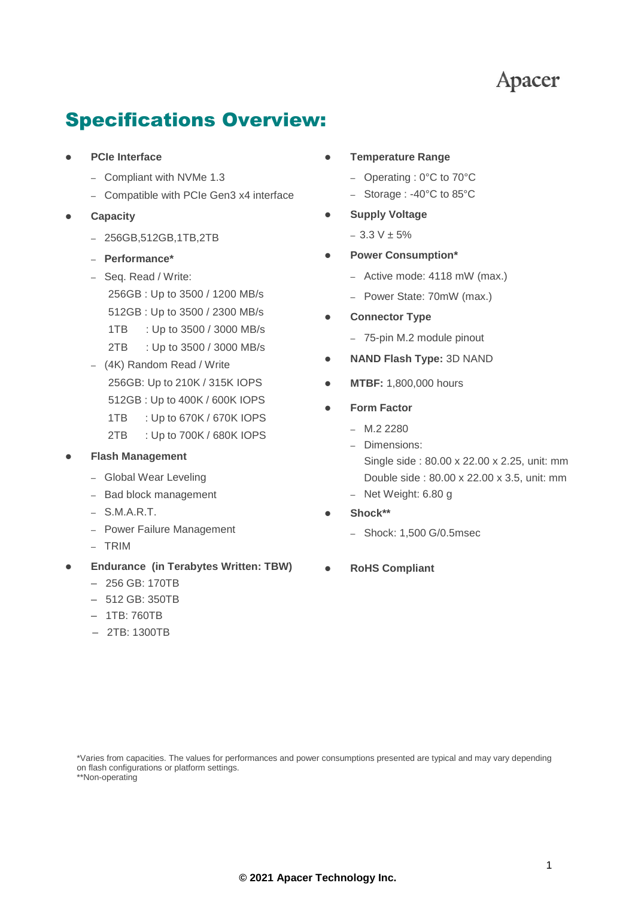### **Apacer**

### Specifications Overview:

- **PCIe Interface**
	- Compliant with NVMe 1.3
	- Compatible with PCIe Gen3 x4 interface
- **Capacity**
	- 256GB,512GB,1TB,2TB
	- **Performance\***
	- Seq. Read / Write: 256GB : Up to 3500 / 1200 MB/s 512GB : Up to 3500 / 2300 MB/s 1TB : Up to 3500 / 3000 MB/s 2TB : Up to 3500 / 3000 MB/s
	- (4K) Random Read / Write 256GB: Up to 210K / 315K IOPS 512GB : Up to 400K / 600K IOPS 1TB : Up to 670K / 670K IOPS 2TB : Up to 700K / 680K IOPS

#### **Flash Management**

- Global Wear Leveling
- Bad block management
- S.M.A.R.T.
- Power Failure Management
- TRIM
- **Endurance (in Terabytes Written: TBW)**
	- 256 GB: 170TB
	- 512 GB: 350TB
	- 1TB: 760TB
	- 2TB: 1300TB
- **Temperature Range**
	- Operating : 0°C to 70°C
	- Storage : -40°C to 85°C
- **Supply Voltage**
	- 3.3 V ± 5%
- **Power Consumption\***
	- Active mode: 4118 mW (max.)
	- Power State: 70mW (max.)
- **Connector Type**
	- 75-pin M.2 module pinout
- **NAND Flash Type:** 3D NAND
- **MTBF:** 1,800,000 hours
- **Form Factor**
	- $M.2 2280$
	- Dimensions:

Single side : 80.00 x 22.00 x 2.25, unit: mm Double side : 80.00 x 22.00 x 3.5, unit: mm

- Net Weight: 6.80 g
- **Shock\*\***
	- Shock: 1,500 G/0.5msec
- **RoHS Compliant**

\*Varies from capacities. The values for performances and power consumptions presented are typical and may vary depending on flash configurations or platform settings.

\*\*Non-operating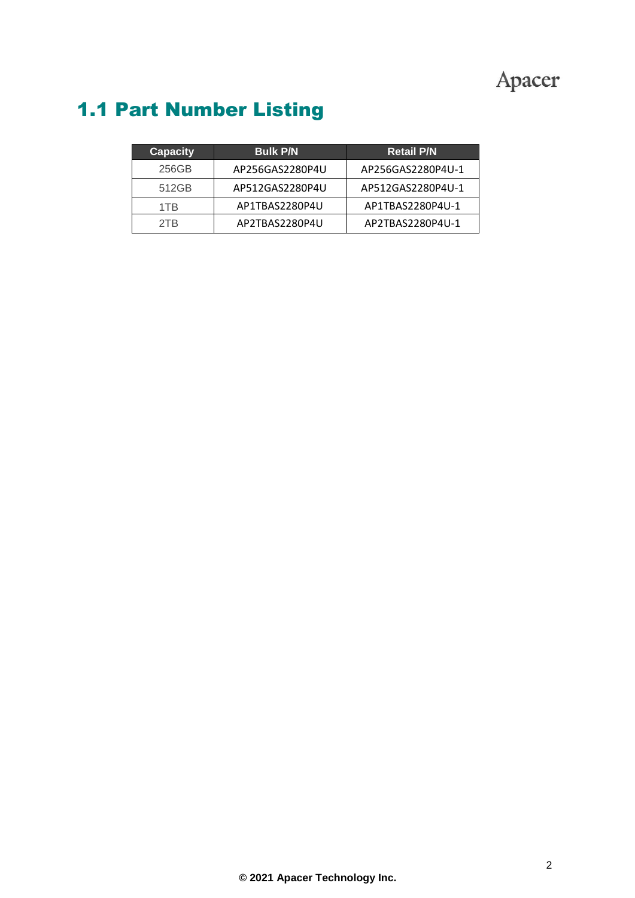## Apacer

## 1.1 Part Number Listing

| <b>Capacity</b> | <b>Bulk P/N</b> | <b>Retail P/N</b> |
|-----------------|-----------------|-------------------|
| 256GB           | AP256GAS2280P4U | AP256GAS2280P4U-1 |
| 512GB           | AP512GAS2280P4U | AP512GAS2280P4U-1 |
| 1TR             | AP1TBAS2280P4U  | AP1TBAS2280P4U-1  |
| 2TB             | AP2TBAS2280P4U  | AP2TBAS2280P4U-1  |